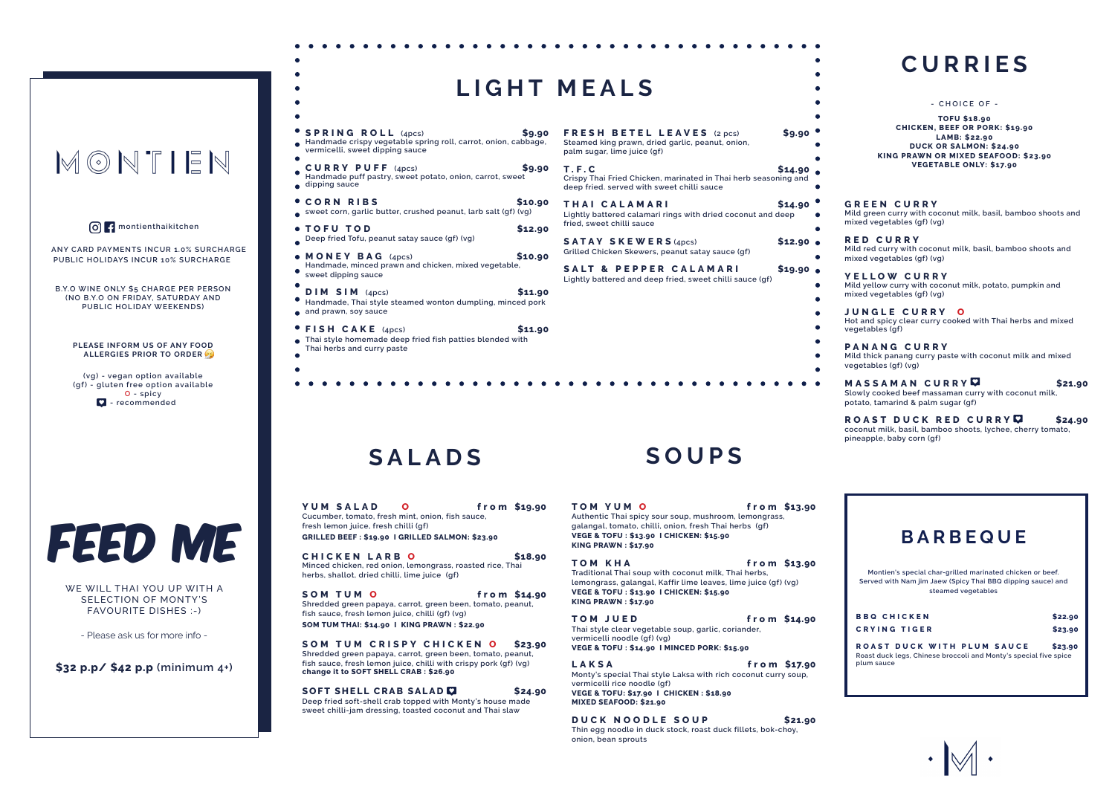|                                                                                                                                                                                                                                                                                                        | LIGHT MEALS                                                                                                                                                               |
|--------------------------------------------------------------------------------------------------------------------------------------------------------------------------------------------------------------------------------------------------------------------------------------------------------|---------------------------------------------------------------------------------------------------------------------------------------------------------------------------|
| <b>SPRING ROLL</b> (4pcs)<br><b>S9.90</b><br>Handmade crispy vegetable spring roll, carrot, onion, cabbage,<br>vermicelli, sweet dipping sauce                                                                                                                                                         | <b>FRESH BETEL</b><br>Steamed king prawn, d<br>palm sugar, lime juice (                                                                                                   |
| CURRY PUFF (4pcs)<br>\$9.90<br>Handmade puff pastry, sweet potato, onion, carrot, sweet<br>dipping sauce                                                                                                                                                                                               | T.F.C<br><b>Crispy Thai Fried Chick</b><br>deep fried. served with                                                                                                        |
| <b>CORN RIBS</b><br><b>\$10.90</b><br>sweet corn, garlic butter, crushed peanut, larb salt (gf) (vg)<br>\$12.90<br>TOFU TOD<br>Deep fried Tofu, peanut satay sauce (gf) (vg)<br>\$10.90<br>$\bullet$ MONEY BAG $(4pcs)$<br>Handmade, minced prawn and chicken, mixed vegetable,<br>sweet dipping sauce | THAI CALAMA<br>Lightly battered calama<br>fried, sweet chilli sauce<br>SATAY SKEWE<br><b>Grilled Chicken Skewer</b><br><b>SALT &amp; PEPPI</b><br>Lightly battered and de |
| $DIM$ SIM $(4pcs)$<br><b>S11.90</b><br>Handmade, Thai style steamed wonton dumpling, minced pork<br>and prawn, soy sauce                                                                                                                                                                               |                                                                                                                                                                           |
| \$11.90<br><b>FISH CAKE</b> (4pcs)<br>Thai style homemade deep fried fish patties blended with<br>Thai herbs and curry paste                                                                                                                                                                           |                                                                                                                                                                           |

**TOM YUM O from \$13.90 Authentic Thai spicy sour soup, mushroom, lemongrass, galangal, tomato, chilli, onion, fresh Thai herbs (gf) VEGE & TOFU : \$13.90 I CHICKEN: \$15.90 KING PRAWN : \$17.90**

**TOM KHA from \$13.90 Traditional Thai soup with coconut milk, Thai herbs, lemongrass, galangal, Kaffir lime leaves, lime juice (gf) (vg) VEGE & TOFU : \$13.90 I CHICKEN: \$15.90 KING PRAWN : \$17.90**

**TOM JUED from \$14.90 Thai style clear vegetable soup, garlic, coriander, vermicelli noodle (gf) (vg) VEGE & TOFU : \$14.90 I MINCED PORK: \$15.90** 

### **SOUPS**

**LAKSA from \$17.90 Monty's special Thai style Laksa with rich coconut curry soup, vermicelli rice noodle (gf) VEGE & TOFU: \$17.90 I CHICKEN : \$18.90 MIXED SEAFOOD: \$21.90**

**YUM SALAD 0** from \$19.90 **Cucumber, tomato, fresh mint, onion, fish sauce, fresh lemon juice, fresh chilli (gf) GRILLED BEEF : \$19.90 I GRILLED SALMON: \$23.90**

**SOM TUM O from \$14.90 Shredded green papaya, carrot, green been, tomato, peanut, fish sauce, fresh lemon juice, chilli (gf) (vg) SOM TUM THAI: \$14.90 I KING PRAWN : \$22.90**

**SOFT SHELL CRAB SALAD**  $\Box$  **\$24.90 Deep fried soft-shell crab topped with Monty's house made sweet chilli-jam dressing, toasted coconut and Thai slaw**

**DUCK NOODLE SOUP \$21.90 Thin egg noodle in duck stock, roast duck fillets, bok-choy, onion, bean sprouts** 

**CHICKEN LARB O \$18.90 Minced chicken, red onion, lemongrass, roasted rice, Thai herbs, shallot, dried chilli, lime juice (gf)**

**SOM TUM CRISPY CHICKEN O \$23.90 Shredded green papaya, carrot, green been, tomato, peanut, fish sauce, fresh lemon juice, chilli with crispy pork (gf) (vg) change it to SOFT SHELL CRAB : \$26.90**

# MONTIEN

**montienthaikitchen**

**ANY CARD PAYMENTS INCUR 1.0% SURCHARGE PUBLIC HOLIDAYS INCUR 10% SURCHARGE**

**B.Y.O WINE ONLY \$5 CHARGE PER PERSON (NO B.Y.O ON FRIDAY, SATURDAY AND PUBLIC HOLIDAY WEEKENDS)**

**PLEASE INFORM US OF ANY FOOD ALLERGIES PRIOR TO ORDER**

**(vg) - vegan option available (gf) - gluten free option available O - spicy - recommended**

### **SALADS**

FEED ME

WE WILL THAI YOU UP WITH A SELECTION OF MONTY'S FAVOURITE DISHES :-)

- Please ask us for more info -

**\$32 p.p/ \$42 p.p (minimum 4+)**

#### **FRESH BETEL LEAVES (2 pcs) \$9.90 Steamed king prawn, dried garlic, peanut, onion, palm sugar, lime juice (gf) T . F . C \$14.90 Crispy Thai Fried Chicken, marinated in Thai herb seasoning and**  with sweet chilli sauce **THAIRI** \$14.90 **Lightly battered calamari rings with dried coconut and deep sauce WERS** (4pcs) \$12.90  $\bullet$ kewers, peanut satay sauce (qf) **PPER CALAMARI \$19.90 • Lightly battered and deep fried, sweet chilli sauce (gf)**

### **CURRIES**

#### **GREEN CURRY**

**Mild green curry with coconut milk, basil, bamboo shoots and mixed vegetables (gf) (vg)**

#### **RED CURRY**

**Mild red curry with coconut milk, basil, bamboo shoots and mixed vegetables (gf) (vg)**

**YELLOW CURRY Mild yellow curry with coconut milk, potato, pumpkin and mixed vegetables (gf) (vg)**

**JUNGLE CURRY O Hot and spicy clear curry cooked with Thai herbs and mixed vegetables (gf)**

**PANANG CURRY Mild thick panang curry paste with coconut milk and mixed vegetables (gf) (vg)**

**MASSAMAN CURRY \$21.90 Slowly cooked beef massaman curry with coconut milk, potato, tamarind & palm sugar (gf)**

**ROAST DUCK RED CURRY \$24.90 coconut milk, basil, bamboo shoots, lychee, cherry tomato, pineapple, baby corn (gf)**

**TOFU \$18.90 CHICKEN, BEEF OR PORK: \$19.90 LAMB: \$22.90 DUCK OR SALMON: \$24.90 KING PRAWN OR MIXED SEAFOOD: \$23.90 VEGETABLE ONLY: \$17.90**

#### **- CHOICE OF -**

| BARBEQUE                                                                                                                                       |         |  |  |
|------------------------------------------------------------------------------------------------------------------------------------------------|---------|--|--|
| Montien's special char-grilled marinated chicken or beef.<br>Served with Nam jim Jaew (Spicy Thai BBQ dipping sauce) and<br>steamed vegetables |         |  |  |
| <b>BBO CHICKEN</b>                                                                                                                             | \$22.90 |  |  |
| <b>CRYING TIGER</b>                                                                                                                            | \$23.90 |  |  |
| ROAST DUCK WITH PLUM SAUCE<br>Roast duck legs, Chinese broccoli and Monty's special five spice<br>plum sauce                                   | \$23.90 |  |  |